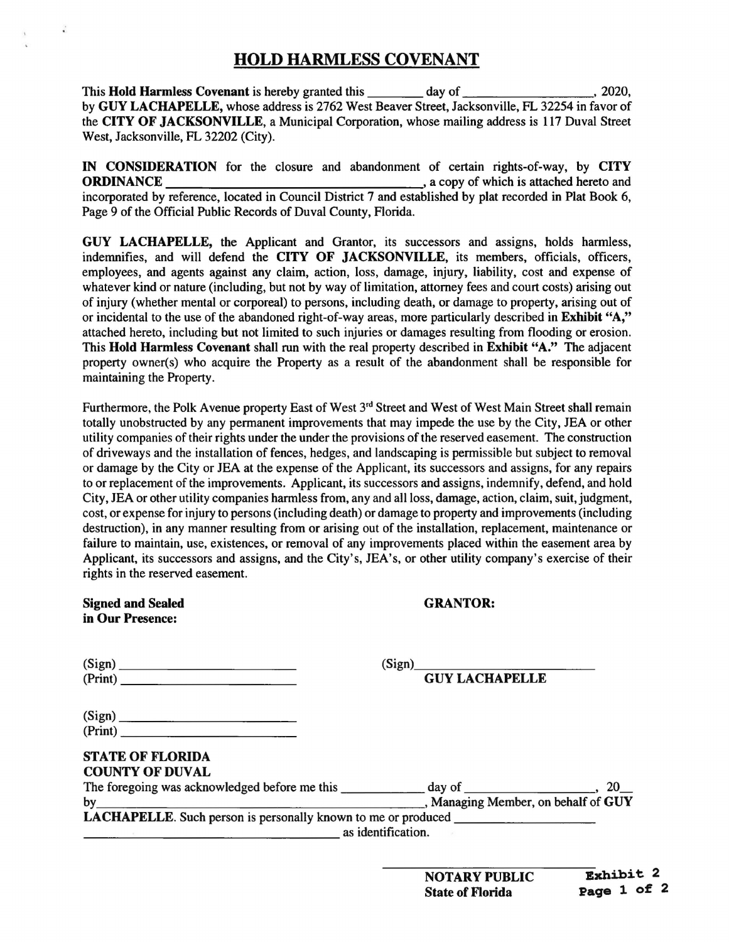## HOLD HARMLESS COVENANT

This **Hold Harmless Covenant** is hereby granted this day of the state of the control of the control of the control of the control of the control of the control of the control of the control of the control of the control of by GUY LACHAPELLE, whose address is 2762 West Beaver Street, Jacksonville, FL 32254 in favor of the CITY OF JACKSONVILLE, a Municipal Corporation, whose mailing address is 117 Duval Street West, Jacksonville, FL 32202 (City).

IN CONSIDERATION for the closure and abandonment of certain rights-of-way, by CITY<br>corresponding to a copy of which is attached hereto and ORDINANCE , a copy of which is attached hereto and incorporated by reference, located in Council District 7 and established by plat recorded in Plat Book 6, Page 9 of the Official Public Records of Duval County, Florida.

GUY LACHAPELLE, the Applicant and Grantor, its successors and assigns, holds harmless, indemnifies, and will defend the CITY OF JACKSONVILLE, its members, officials, officers, employees, and agents against any claim, action, loss, damage, injury, liability, cost and expense of whatever kind or nature (including, but not by way of limitation, attorney fees and court costs) arising out of injury (whether mental or corporeal) to persons, including death, or damage to property, arising out of or incidental to the use of the abandoned right-of-way areas, more particularly described in Exhibit "A," attached hereto, including but not limited to such injuries or damages resulting from flooding or erosion. This Hold Harmless Covenant shall run with the real property described in Exhibit "A." The adjacent property owner(s) who acquire the Property as a result of the abandonment shall be responsible for maintaining the Property.

Furthermore, the Polk Avenue property East of West 3<sup>rd</sup> Street and West of West Main Street shall remain totally unobstructed by any permanent improvements that may impede the use by the City, JEA or other utility companies of their rights under the under the provisions of the reserved easement. The construction of driveways and the installation of fences, hedges, and landscaping is permissible but subject to removal or damage by the City or JEA at the expense of the Applicant, its successors and assigns, for any repairs to or replacement of the improvements. Applicant, its successors and assigns, indemnify, defend, and hold City, JEA or other utility companies harmless from, any and all loss, damage, action, claim, suit, judgment, cost, or expense for injury to persons (including death) or damage to property and improvements (including destruction), in any manner resulting from or arising out of the installation, replacement, maintenance or failure to maintain, use, existences, or removal of any improvements placed within the easement area by Applicant, its successors and assigns, and the City's, JEA's, or other utility company's exercise of their rights in the reserved easement.

| <b>Signed and Sealed</b><br>in Our Presence:                                            | <b>GRANTOR:</b>                 |  |
|-----------------------------------------------------------------------------------------|---------------------------------|--|
| (Sign)<br>(Print)                                                                       | (Sign)<br><b>GUY LACHAPELLE</b> |  |
|                                                                                         |                                 |  |
| (Sign)                                                                                  |                                 |  |
| (Print)                                                                                 |                                 |  |
| <b>STATE OF FLORIDA</b><br><b>COUNTY OF DUVAL</b>                                       |                                 |  |
|                                                                                         |                                 |  |
| Managing Member, on behalf of GUY<br>by                                                 |                                 |  |
| <b>LACHAPELLE</b> . Such person is personally known to me or produced _________________ |                                 |  |
| as identification.                                                                      |                                 |  |